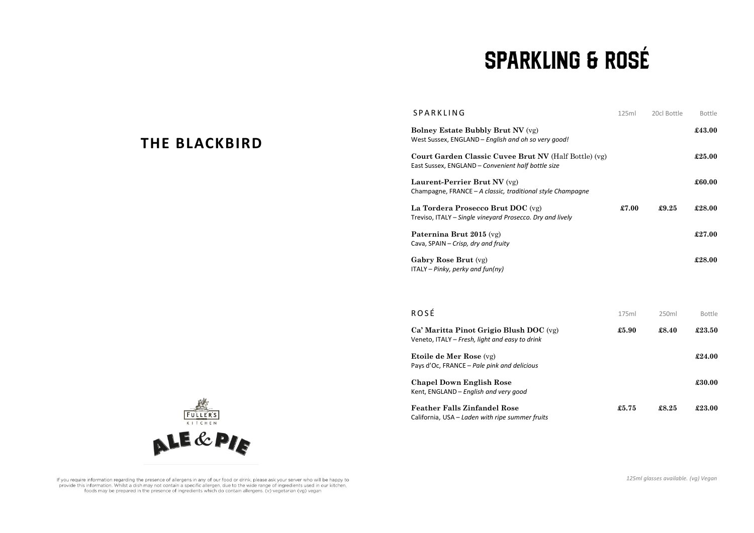## **SPARKLING & ROSÉ**

| SPARKLING                                                                                                   | 125ml | 20cl Bottle | Bottle |
|-------------------------------------------------------------------------------------------------------------|-------|-------------|--------|
| <b>Bolney Estate Bubbly Brut NV (vg)</b><br>West Sussex, ENGLAND - English and oh so very good!             |       |             | £43.00 |
| Court Garden Classic Cuvee Brut NV (Half Bottle) (vg)<br>East Sussex, ENGLAND - Convenient half bottle size |       |             | £25.00 |
| Laurent-Perrier Brut NV (vg)<br>Champagne, FRANCE – A classic, traditional style Champagne                  |       |             | £60.00 |
| La Tordera Prosecco Brut DOC (vg)<br>Treviso, ITALY – Single vineyard Prosecco. Dry and lively              | £7.00 | £9.25       | £28.00 |
| Paternina Brut 2015 (vg)<br>Cava, SPAIN - Crisp, dry and fruity                                             |       |             | £27.00 |
| Gabry Rose Brut (vg)<br>$ITALY - Pinky, perky$ and $fun(ny)$                                                |       |             | £28.00 |

| <b>ROSÉ</b>                                                                               | 175ml | 250 <sub>ml</sub> | <b>Bottle</b> |
|-------------------------------------------------------------------------------------------|-------|-------------------|---------------|
| Ca' Maritta Pinot Grigio Blush DOC (vg)<br>Veneto, ITALY - Fresh, light and easy to drink | £5.90 | £8.40             | £23.50        |
| <b>Etoile de Mer Rose</b> (vg)<br>Pays d'Oc, FRANCE – Pale pink and delicious             |       |                   | £24.00        |
| <b>Chapel Down English Rose</b><br>Kent. ENGLAND - English and very good                  |       |                   | £30.00        |
| <b>Feather Falls Zinfandel Rose</b><br>California, USA - Laden with ripe summer fruits    | £5.75 | £8.25             | £23.00        |



**THE BLACKBIRD**

If you require information regarding the presence of allergens in any of our food or drink, please ask your server who will be happy to provide this information. Whilst a dish may not contain a specific allergen, due to the wide range of ingredients used in our kitchen, foods may be prepared in the presence of ingredients which do contain allergens. (v) vegetarian (vg) vegan

*125ml glasses available. (vg) Vegan*